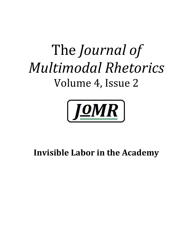# The *Journal of Multimodal Rhetorics* Volume 4, Issue 2



## **Invisible Labor in the Academy**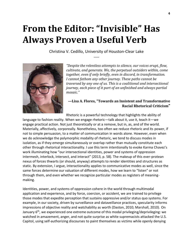## **From the Editor: "Invisible" Has Always Proven a Useful Verb**

Christina V. Cedillo, University of Houston-Clear Lake -----



*"Despite the relentless attempts to silence, our voices erupt, flow, cultivate, and generate. We, the perpetual outsiders within, come together, even if only briefly, even in discord, in transformation. I cannot fathom any other journey. These paths cannot be traversed by any one of us. This is a coalitional and intersectional journey, each piece of it part of an unfinished and always partial mosaic."*

#### **—Lisa A. Flores, "Towards an Insistent and Transformative Racial Rhetorical Criticism"**

Rhetoric is a powerful technology that highlights the ability of

language to fashion reality. When we engage rhetoric—talk about it, use it, teach it—we engage practical action. Not just theoretically or at a remove, but in, as, and of the world. Materially, affectively, corporeally. Nonetheless, too often we reduce rhetoric and its power, if not to simple persuasion, to a matter of communication in words alone. However, even when we do acknowledge the polymorphic modality of rhetoric, we tend to discuss modes in isolation, as if they emerge simultaneously or overlap rather than mutually constitute each other through rhetorical interactionality. I use this term intentionally to evoke Karma Chavez's work illuminating how "our intersectional identities, power and systems of oppression intermesh, interlock, intersect, and interact" (2013, p. 58). The makeup of this ever-protean nexus of forces thwarts (or should, anyway) attempts to render identities and structures as static. By extension, I argue, interactionality applies to communicative modes as well, since the same forces determine our valuation of different modes, how we learn to "listen" or not through them, and even whether we recognize particular modes as registers of meaningmaking.

Identities, power, and systems of oppression cohere in the world through multimodal application and experience, and by force, coercion, or accident, we are trained to privilege those modes that expedite perception that sustains oppressive and/or status quo systems. For example, in our society, driven by surveillance and dataveillance practices, specularity informs impressions of objective reality and watchability as worth (Daston, 2010; Marshall, 2010). On January  $6<sup>th</sup>$ , we experienced one extreme outcome of this modal privileging/deprivileging: we watched in amazement, anger, and not quite surprise as white supremacists attacked the U.S. Capitol, using self-authorizing discourses to paint themselves as victims while openly denying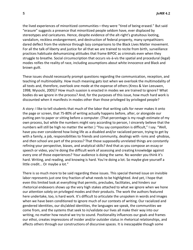the lived experiences of minoritized communities—they were "tired of being erased." But said "erasure" suggests a presence that minoritized people seldom have, ever displaced by stereotypes and caricatures. Hence, despite evidence of the alt-right's gratuitous looting, vandalism, reckless endangerment, and destruction of federal property, many sympathizers dared deflect from the violence through lazy comparisons to the Black Lives Matter movement. For all the talk of liberty and justice for all that we are trained to recite from birth, surveillance practices habituate dehumanizing attitudes that frame BIPOC as criminals even when they struggle to breathe. Social circumscription that occurs vis-à-vis the spatial and procedural (legal) modes reifies the reality of race, including assumptions about white innocence and Black and brown guilt.

These issues should necessarily prompt questions regarding the communication, reception, and teaching of multimodality. How much meaning gets lost when we overlook the multimodality of all texts and, therefore, overlook one mode at the expense of others (Kress & Van Leeuwen, 1998; Wysocki, 2005)? How much suasion is enacted in modes we are trained to ignore? What bodies do we ignore in the process? And, for the purposes of this issue, how much hard work is discounted when it manifests in modes other than those privileged by privileged people?

A story: I like to tell students that much of the labor that writing calls for never makes it onto the page or screen, that 75-80% of writing actually happens before, after, or alongside our putting pen to paper or sitting before a computer. (That percentage is my rough estimate of my own process, but while the numbers might vary according to person, I sincerely believe that the numbers will still be high no matter the writer.) "You say composition is difficult," I say. "Well, have you ever considered how living life as a disabled and/or racialized person, trying to get by with a family, a job, responsibilities to friends and community, dealings with -isms and -phobias, and *then* school are part of the process? That those supposedly unrelated things are constantly refining your perspective, biases, and analytical skills? And that as you compose an essay or speech or video, you're doing the difficult work of assessing and creating knowledge against every one of those experiences? Your audience is doing the same. No wonder you think it's hard. Writing, and reading, and knowing is hard. You're doing a lot. So maybe give yourself a little credit... Or maybe a lot."

There is so much more to be said regarding these issues. This special themed issue on invisible labor represents just one tiny fraction of what needs to be highlighted. And yet, I hope that even this limited look at everything that permits, precludes, facilitates, and hinders our rhetorical endeavors shows up the very high stakes attached to what we ignore when we hone our attention solely on privileged modes and their products. The work the authors featured here undertake, too, is hard work. It's difficult to articulate the unspoken in words and images when we have been conditioned to ignore much of our contexts of writing. Our racialized and gendered identities, our dis/abled identities, the languages we speak, the communities we come from, and the systems that seek to in/validate our lives all make their way into our writing, no matter how neutral we try to sound. Positionality influences our goals and frames our ethoi, creates impressions of insider and/or outsider status in rhetorical relationships, and affects others through our constructions of discursive spaces. It is inescapable though some